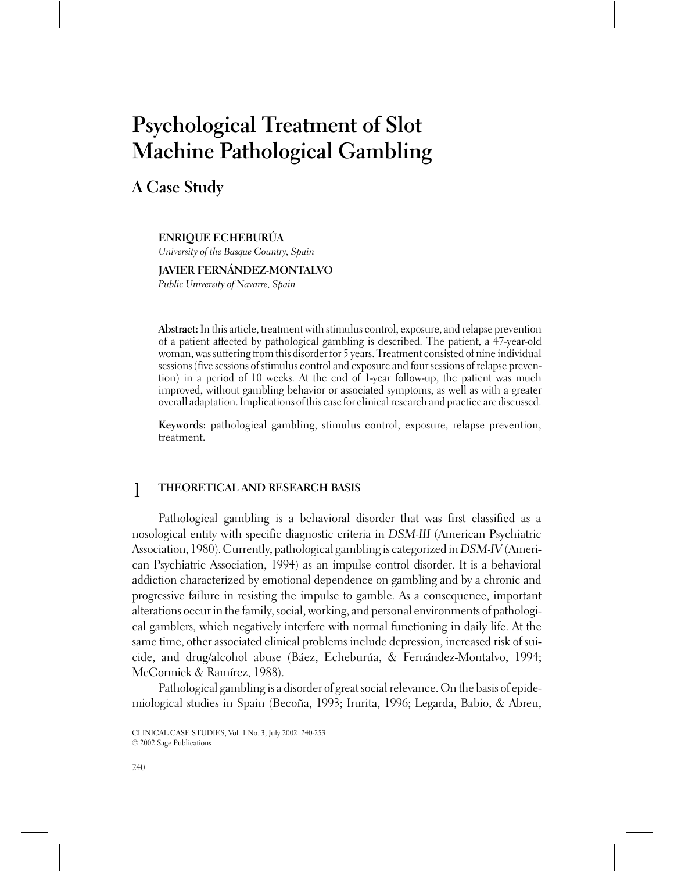# **Psychological Treatment of Slot Machine Pathological Gambling**

# **A Case Study**

## **ENRIQUE ECHEBURÚA** *University of the Basque Country, Spain*

**JAVIER FERNÁNDEZ-MONTALVO**

*Public University of Navarre, Spain*

**Abstract:**In this article, treatment with stimulus control, exposure, and relapse prevention of a patient affected by pathological gambling is described. The patient, a 47-year-old woman, was suffering from this disorder for 5 years. Treatment consisted of nine individual sessions (five sessions of stimulus control and exposure and four sessions of relapse prevention) in a period of 10 weeks. At the end of 1-year follow-up, the patient was much improved, without gambling behavior or associated symptoms, as well as with a greater overall adaptation. Implications of this case for clinical research and practice are discussed.

**Keywords:** pathological gambling, stimulus control, exposure, relapse prevention, treatment.

# 1 **THEORETICAL AND RESEARCH BASIS**

Pathological gambling is a behavioral disorder that was first classified as a nosological entity with specific diagnostic criteria in *DSM-III* (American Psychiatric Association, 1980). Currently, pathological gambling is categorized in*DSM-IV*(American Psychiatric Association, 1994) as an impulse control disorder. It is a behavioral addiction characterized by emotional dependence on gambling and by a chronic and progressive failure in resisting the impulse to gamble. As a consequence, important alterations occur in the family, social, working, and personal environments of pathological gamblers, which negatively interfere with normal functioning in daily life. At the same time, other associated clinical problems include depression, increased risk of suicide, and drug/alcohol abuse (Báez, Echeburúa, & Fernández-Montalvo, 1994; McCormick & Ramírez, 1988).

Pathological gambling is a disorder of great social relevance. On the basis of epidemiological studies in Spain (Becoña, 1993; Irurita, 1996; Legarda, Babio, & Abreu,

CLINICAL CASE STUDIES, Vol. 1 No. 3, July 2002 240-253 © 2002 Sage Publications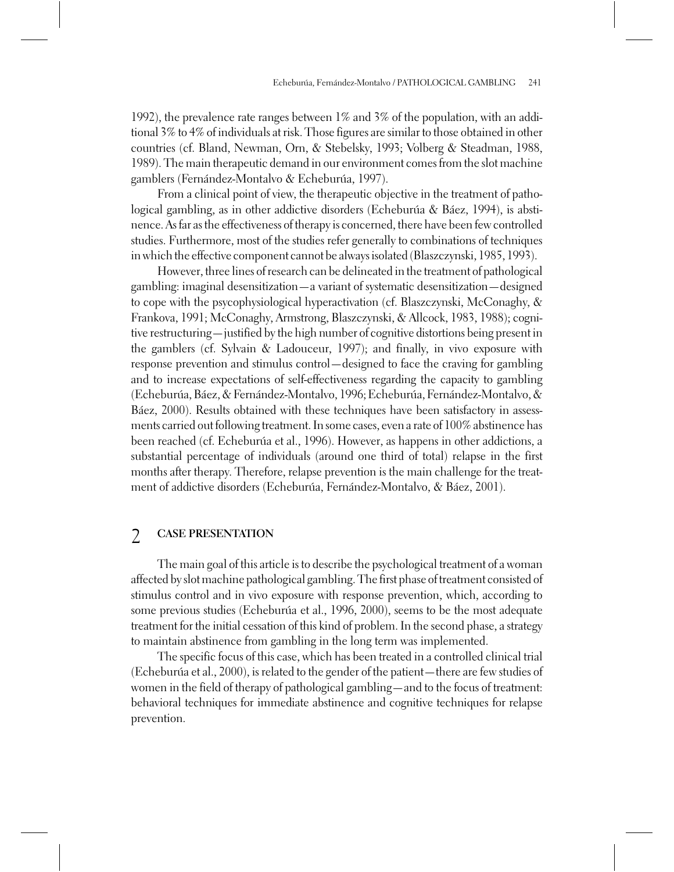1992), the prevalence rate ranges between 1% and 3% of the population, with an additional 3% to 4% of individuals at risk. Those figures are similar to those obtained in other countries (cf. Bland, Newman, Orn, & Stebelsky, 1993; Volberg & Steadman, 1988, 1989). The main therapeutic demand in our environment comes from the slot machine gamblers (Fernández-Montalvo & Echeburúa, 1997).

From a clinical point of view, the therapeutic objective in the treatment of pathological gambling, as in other addictive disorders (Echeburúa & Báez, 1994), is abstinence. As far as the effectiveness of therapy is concerned, there have been few controlled studies. Furthermore, most of the studies refer generally to combinations of techniques in which the effective component cannot be always isolated (Blaszczynski, 1985, 1993).

However, three lines of research can be delineated in the treatment of pathological gambling: imaginal desensitization—a variant of systematic desensitization—designed to cope with the psycophysiological hyperactivation (cf. Blaszczynski, McConaghy, & Frankova, 1991; McConaghy, Armstrong, Blaszczynski, & Allcock, 1983, 1988); cognitive restructuring—justified by the high number of cognitive distortions being present in the gamblers (cf. Sylvain & Ladouceur, 1997); and finally, in vivo exposure with response prevention and stimulus control—designed to face the craving for gambling and to increase expectations of self-effectiveness regarding the capacity to gambling (Echeburúa, Báez, & Fernández-Montalvo, 1996; Echeburúa, Fernández-Montalvo, & Báez, 2000). Results obtained with these techniques have been satisfactory in assessments carried out following treatment. In some cases, even a rate of 100% abstinence has been reached (cf. Echeburúa et al., 1996). However, as happens in other addictions, a substantial percentage of individuals (around one third of total) relapse in the first months after therapy. Therefore, relapse prevention is the main challenge for the treatment of addictive disorders (Echeburúa, Fernández-Montalvo, & Báez, 2001).

## 2 **CASE PRESENTATION**

The main goal of this article is to describe the psychological treatment of a woman affected by slot machine pathological gambling. The first phase of treatment consisted of stimulus control and in vivo exposure with response prevention, which, according to some previous studies (Echeburúa et al., 1996, 2000), seems to be the most adequate treatment for the initial cessation of this kind of problem. In the second phase, a strategy to maintain abstinence from gambling in the long term was implemented.

The specific focus of this case, which has been treated in a controlled clinical trial (Echeburúa et al., 2000), is related to the gender of the patient—there are few studies of women in the field of therapy of pathological gambling—and to the focus of treatment: behavioral techniques for immediate abstinence and cognitive techniques for relapse prevention.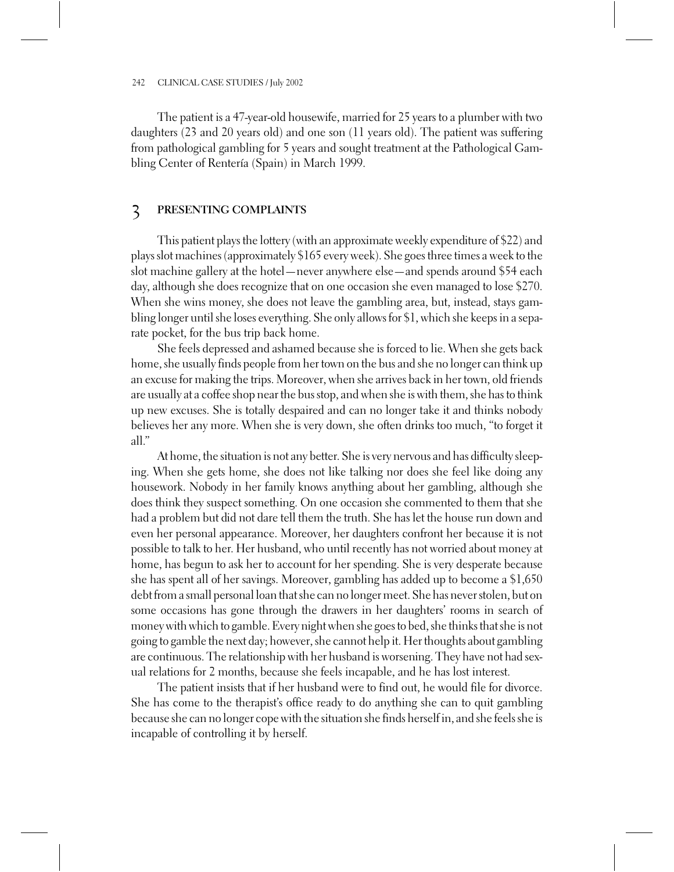The patient is a 47-year-old housewife, married for 25 years to a plumber with two daughters (23 and 20 years old) and one son (11 years old). The patient was suffering from pathological gambling for 5 years and sought treatment at the Pathological Gambling Center of Rentería (Spain) in March 1999.

# 3 **PRESENTING COMPLAINTS**

This patient plays the lottery (with an approximate weekly expenditure of \$22) and plays slot machines (approximately \$165 every week). She goes three times a week to the slot machine gallery at the hotel—never anywhere else—and spends around \$54 each day, although she does recognize that on one occasion she even managed to lose \$270. When she wins money, she does not leave the gambling area, but, instead, stays gambling longer until she loses everything. She only allows for \$1, which she keeps in a separate pocket, for the bus trip back home.

She feels depressed and ashamed because she is forced to lie. When she gets back home, she usually finds people from her town on the bus and she no longer can think up an excuse for making the trips. Moreover, when she arrives back in her town, old friends are usually at a coffee shop near the bus stop, and when she is with them, she has to think up new excuses. She is totally despaired and can no longer take it and thinks nobody believes her any more. When she is very down, she often drinks too much, "to forget it all."

At home, the situation is not any better. She is very nervous and has difficulty sleeping. When she gets home, she does not like talking nor does she feel like doing any housework. Nobody in her family knows anything about her gambling, although she does think they suspect something. On one occasion she commented to them that she had a problem but did not dare tell them the truth. She has let the house run down and even her personal appearance. Moreover, her daughters confront her because it is not possible to talk to her. Her husband, who until recently has not worried about money at home, has begun to ask her to account for her spending. She is very desperate because she has spent all of her savings. Moreover, gambling has added up to become a \$1,650 debt from a small personal loan that she can no longer meet. She has never stolen, but on some occasions has gone through the drawers in her daughters' rooms in search of money with which to gamble. Every night when she goes to bed, she thinks that she is not going to gamble the next day; however, she cannot help it. Her thoughts about gambling are continuous. The relationship with her husband is worsening. They have not had sexual relations for 2 months, because she feels incapable, and he has lost interest.

The patient insists that if her husband were to find out, he would file for divorce. She has come to the therapist's office ready to do anything she can to quit gambling because she can no longer cope with the situation she finds herself in, and she feels she is incapable of controlling it by herself.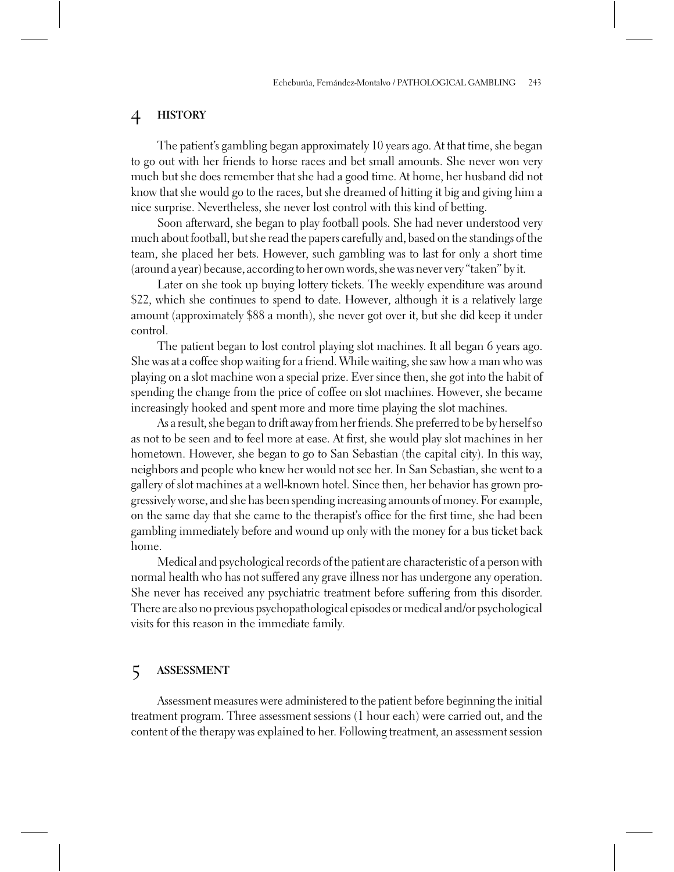# 4 **HISTORY**

The patient's gambling began approximately 10 years ago. At that time, she began to go out with her friends to horse races and bet small amounts. She never won very much but she does remember that she had a good time. At home, her husband did not know that she would go to the races, but she dreamed of hitting it big and giving him a nice surprise. Nevertheless, she never lost control with this kind of betting.

Soon afterward, she began to play football pools. She had never understood very much about football, but she read the papers carefully and, based on the standings of the team, she placed her bets. However, such gambling was to last for only a short time (around a year) because, according to her own words, she was never very "taken" by it.

Later on she took up buying lottery tickets. The weekly expenditure was around \$22, which she continues to spend to date. However, although it is a relatively large amount (approximately \$88 a month), she never got over it, but she did keep it under control.

The patient began to lost control playing slot machines. It all began 6 years ago. She was at a coffee shop waiting for a friend. While waiting, she saw how a man who was playing on a slot machine won a special prize. Ever since then, she got into the habit of spending the change from the price of coffee on slot machines. However, she became increasingly hooked and spent more and more time playing the slot machines.

As a result, she began to drift away from her friends. She preferred to be by herself so as not to be seen and to feel more at ease. At first, she would play slot machines in her hometown. However, she began to go to San Sebastian (the capital city). In this way, neighbors and people who knew her would not see her. In San Sebastian, she went to a gallery of slot machines at a well-known hotel. Since then, her behavior has grown progressively worse, and she has been spending increasing amounts of money. For example, on the same day that she came to the therapist's office for the first time, she had been gambling immediately before and wound up only with the money for a bus ticket back home.

Medical and psychological records of the patient are characteristic of a person with normal health who has not suffered any grave illness nor has undergone any operation. She never has received any psychiatric treatment before suffering from this disorder. There are also no previous psychopathological episodes or medical and/or psychological visits for this reason in the immediate family.

# 5 **ASSESSMENT**

Assessment measures were administered to the patient before beginning the initial treatment program. Three assessment sessions (1 hour each) were carried out, and the content of the therapy was explained to her. Following treatment, an assessment session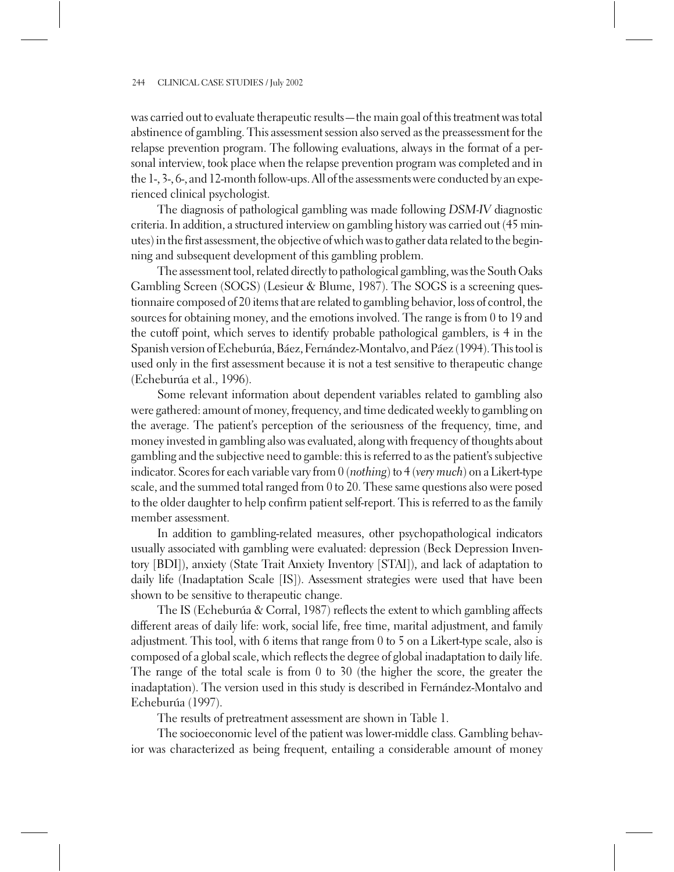was carried out to evaluate therapeutic results—the main goal of this treatment was total abstinence of gambling. This assessment session also served as the preassessment for the relapse prevention program. The following evaluations, always in the format of a personal interview, took place when the relapse prevention program was completed and in the 1-, 3-, 6-, and 12-month follow-ups. All of the assessments were conducted by an experienced clinical psychologist.

The diagnosis of pathological gambling was made following *DSM-IV* diagnostic criteria. In addition, a structured interview on gambling history was carried out (45 minutes) in the first assessment, the objective of which was to gather data related to the beginning and subsequent development of this gambling problem.

The assessment tool, related directly to pathological gambling, was the South Oaks Gambling Screen (SOGS) (Lesieur & Blume, 1987). The SOGS is a screening questionnaire composed of 20 items that are related to gambling behavior, loss of control, the sources for obtaining money, and the emotions involved. The range is from 0 to 19 and the cutoff point, which serves to identify probable pathological gamblers, is 4 in the Spanish version of Echeburúa, Báez, Fernández-Montalvo, and Páez (1994). This tool is used only in the first assessment because it is not a test sensitive to therapeutic change (Echeburúa et al., 1996).

Some relevant information about dependent variables related to gambling also were gathered: amount of money, frequency, and time dedicated weekly to gambling on the average. The patient's perception of the seriousness of the frequency, time, and money invested in gambling also was evaluated, along with frequency of thoughts about gambling and the subjective need to gamble: this is referred to as the patient's subjective indicator. Scores for each variable vary from 0 (*nothing*) to 4 (*very much*) on a Likert-type scale, and the summed total ranged from 0 to 20. These same questions also were posed to the older daughter to help confirm patient self-report. This is referred to as the family member assessment.

In addition to gambling-related measures, other psychopathological indicators usually associated with gambling were evaluated: depression (Beck Depression Inventory [BDI]), anxiety (State Trait Anxiety Inventory [STAI]), and lack of adaptation to daily life (Inadaptation Scale [IS]). Assessment strategies were used that have been shown to be sensitive to therapeutic change.

The IS (Echeburúa & Corral, 1987) reflects the extent to which gambling affects different areas of daily life: work, social life, free time, marital adjustment, and family adjustment. This tool, with 6 items that range from 0 to 5 on a Likert-type scale, also is composed of a global scale, which reflects the degree of global inadaptation to daily life. The range of the total scale is from 0 to 30 (the higher the score, the greater the inadaptation). The version used in this study is described in Fernández-Montalvo and Echeburúa (1997).

The results of pretreatment assessment are shown in Table 1.

The socioeconomic level of the patient was lower-middle class. Gambling behavior was characterized as being frequent, entailing a considerable amount of money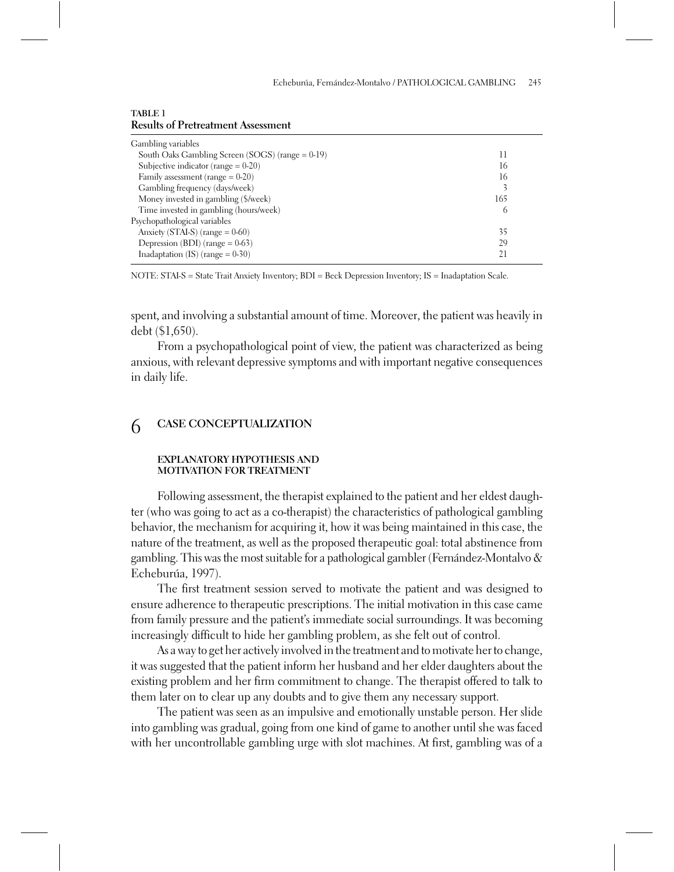| Results of 1 refleatinent Assessment                |     |
|-----------------------------------------------------|-----|
| Gambling variables                                  |     |
| South Oaks Gambling Screen (SOGS) (range $= 0.19$ ) | 11  |
| Subjective indicator (range $= 0-20$ )              | 16  |
| Family assessment (range $= 0-20$ )                 | 16  |
| Gambling frequency (days/week)                      |     |
| Money invested in gambling (\$/week)                | 165 |
| Time invested in gambling (hours/week)              | 6   |
| Psychopathological variables                        |     |
| Anxiety (STAI-S) (range $= 0.60$ )                  | 35  |
| Depression (BDI) (range $= 0.63$ )                  | 29  |
| Inadaptation $(IS)$ (range = 0-30)                  | 21  |
|                                                     |     |

#### **TABLE 1 Results of Pretreatment Assessment**

NOTE: STAI-S = State Trait Anxiety Inventory; BDI = Beck Depression Inventory; IS = Inadaptation Scale.

spent, and involving a substantial amount of time. Moreover, the patient was heavily in debt (\$1,650).

From a psychopathological point of view, the patient was characterized as being anxious, with relevant depressive symptoms and with important negative consequences in daily life.

# 6 **CASE CONCEPTUALIZATION**

#### **EXPLANATORY HYPOTHESIS AND MOTIVATION FOR TREATMENT**

Following assessment, the therapist explained to the patient and her eldest daughter (who was going to act as a co-therapist) the characteristics of pathological gambling behavior, the mechanism for acquiring it, how it was being maintained in this case, the nature of the treatment, as well as the proposed therapeutic goal: total abstinence from gambling. This was the most suitable for a pathological gambler (Fernández-Montalvo & Echeburúa, 1997).

The first treatment session served to motivate the patient and was designed to ensure adherence to therapeutic prescriptions. The initial motivation in this case came from family pressure and the patient's immediate social surroundings. It was becoming increasingly difficult to hide her gambling problem, as she felt out of control.

As a way to get her actively involved in the treatment and to motivate her to change, it was suggested that the patient inform her husband and her elder daughters about the existing problem and her firm commitment to change. The therapist offered to talk to them later on to clear up any doubts and to give them any necessary support.

The patient was seen as an impulsive and emotionally unstable person. Her slide into gambling was gradual, going from one kind of game to another until she was faced with her uncontrollable gambling urge with slot machines. At first, gambling was of a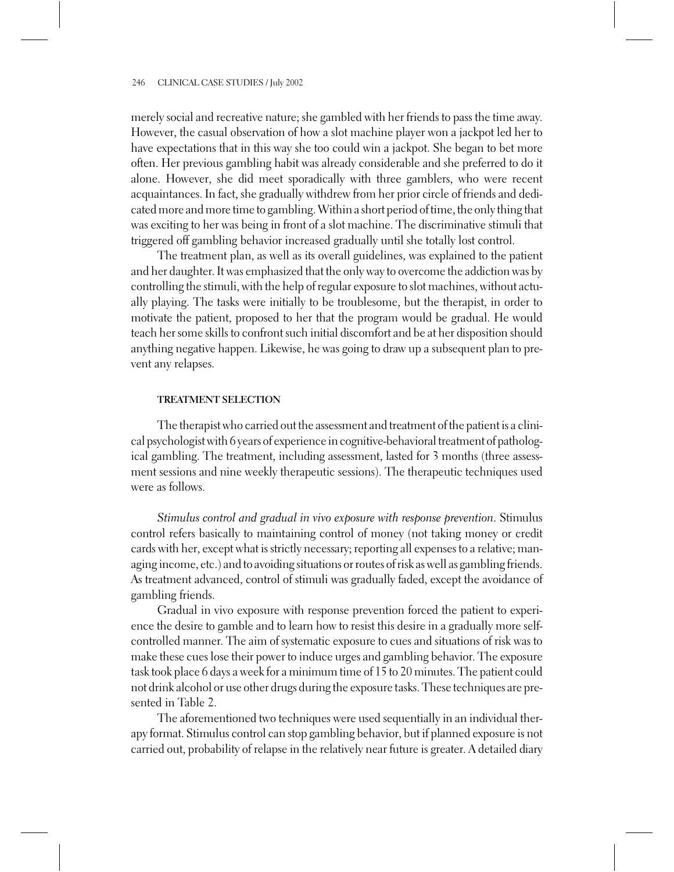merely social and recreative nature; she gambled with her friends to pass the time away. However, the casual observation of how a slot machine player won a jackpot led her to have expectations that in this way she too could win a jackpot. She began to bet more often. Her previous gambling habit was already considerable and she preferred to do it alone. However, she did meet sporadically with three gamblers, who were recent acquaintances. In fact, she gradually withdrew from her prior circle of friends and dedicated more and more time to gambling. Within a short period of time, the only thing that was exciting to her was being in front of a slot machine. The discriminative stimuli that triggered off gambling behavior increased gradually until she totally lost control.

The treatment plan, as well as its overall guidelines, was explained to the patient and her daughter. It was emphasized that the only way to overcome the addiction was by controlling the stimuli, with the help of regular exposure to slot machines, without actually playing. The tasks were initially to be troublesome, but the therapist, in order to motivate the patient, proposed to her that the program would be gradual. He would teach her some skills to confront such initial discomfort and be at her disposition should anything negative happen. Likewise, he was going to draw up a subsequent plan to prevent any relapses.

## **TREATMENT SELECTION**

The therapist who carried out the assessment and treatment of the patient is a clinical psychologist with 6 years of experience in cognitive-behavioral treatment of pathological gambling. The treatment, including assessment, lasted for 3 months (three assessment sessions and nine weekly therapeutic sessions). The therapeutic techniques used were as follows.

*Stimulus control and gradual in vivo exposure with response prevention*. Stimulus control refers basically to maintaining control of money (not taking money or credit cards with her, except what is strictly necessary; reporting all expenses to a relative; managing income, etc.) and to avoiding situations or routes of risk as well as gambling friends. As treatment advanced, control of stimuli was gradually faded, except the avoidance of gambling friends.

Gradual in vivo exposure with response prevention forced the patient to experience the desire to gamble and to learn how to resist this desire in a gradually more selfcontrolled manner. The aim of systematic exposure to cues and situations of risk was to make these cues lose their power to induce urges and gambling behavior. The exposure task took place 6 days a week for a minimum time of 15 to 20 minutes. The patient could not drink alcohol or use other drugs during the exposure tasks. These techniques are presented in Table 2.

The aforementioned two techniques were used sequentially in an individual therapy format. Stimulus control can stop gambling behavior, but if planned exposure is not carried out, probability of relapse in the relatively near future is greater. A detailed diary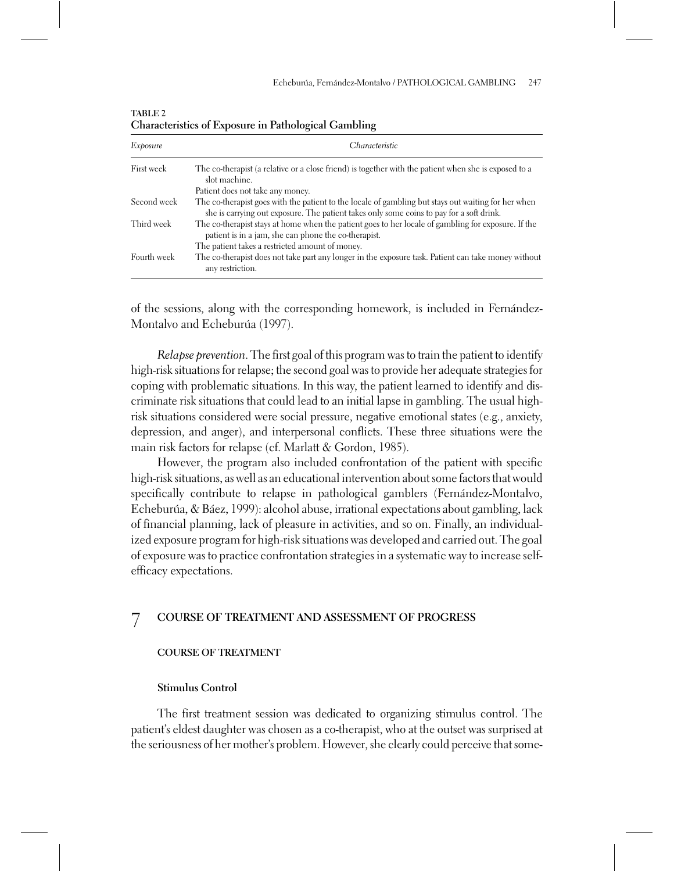| Exposure    | Characteristic                                                                                                                                                                                  |  |  |  |  |  |
|-------------|-------------------------------------------------------------------------------------------------------------------------------------------------------------------------------------------------|--|--|--|--|--|
| First week  | The co-therapist (a relative or a close friend) is together with the patient when she is exposed to a<br>slot machine.                                                                          |  |  |  |  |  |
|             | Patient does not take any money.                                                                                                                                                                |  |  |  |  |  |
| Second week | The co-therapist goes with the patient to the locale of gambling but stays out waiting for her when<br>she is carrying out exposure. The patient takes only some coins to pay for a soft drink. |  |  |  |  |  |
| Third week  | The co-therapist stays at home when the patient goes to her locale of gambling for exposure. If the<br>patient is in a jam, she can phone the co-therapist.                                     |  |  |  |  |  |
|             | The patient takes a restricted amount of money.                                                                                                                                                 |  |  |  |  |  |
| Fourth week | The co-therapist does not take part any longer in the exposure task. Patient can take money without<br>any restriction.                                                                         |  |  |  |  |  |

**TABLE 2 Characteristics of Exposure in Pathological Gambling**

of the sessions, along with the corresponding homework, is included in Fernández-Montalvo and Echeburúa (1997).

*Relapse prevention*. The first goal of this program was to train the patient to identify high-risk situations for relapse; the second goal was to provide her adequate strategies for coping with problematic situations. In this way, the patient learned to identify and discriminate risk situations that could lead to an initial lapse in gambling. The usual highrisk situations considered were social pressure, negative emotional states (e.g., anxiety, depression, and anger), and interpersonal conflicts. These three situations were the main risk factors for relapse (cf. Marlatt & Gordon, 1985).

However, the program also included confrontation of the patient with specific high-risk situations, as well as an educational intervention about some factors that would specifically contribute to relapse in pathological gamblers (Fernández-Montalvo, Echeburúa, & Báez, 1999): alcohol abuse, irrational expectations about gambling, lack of financial planning, lack of pleasure in activities, and so on. Finally, an individualized exposure program for high-risk situations was developed and carried out. The goal of exposure was to practice confrontation strategies in a systematic way to increase selfefficacy expectations.

# 7 **COURSE OF TREATMENT AND ASSESSMENT OF PROGRESS**

#### **COURSE OF TREATMENT**

#### **Stimulus Control**

The first treatment session was dedicated to organizing stimulus control. The patient's eldest daughter was chosen as a co-therapist, who at the outset was surprised at the seriousness of her mother's problem. However, she clearly could perceive that some-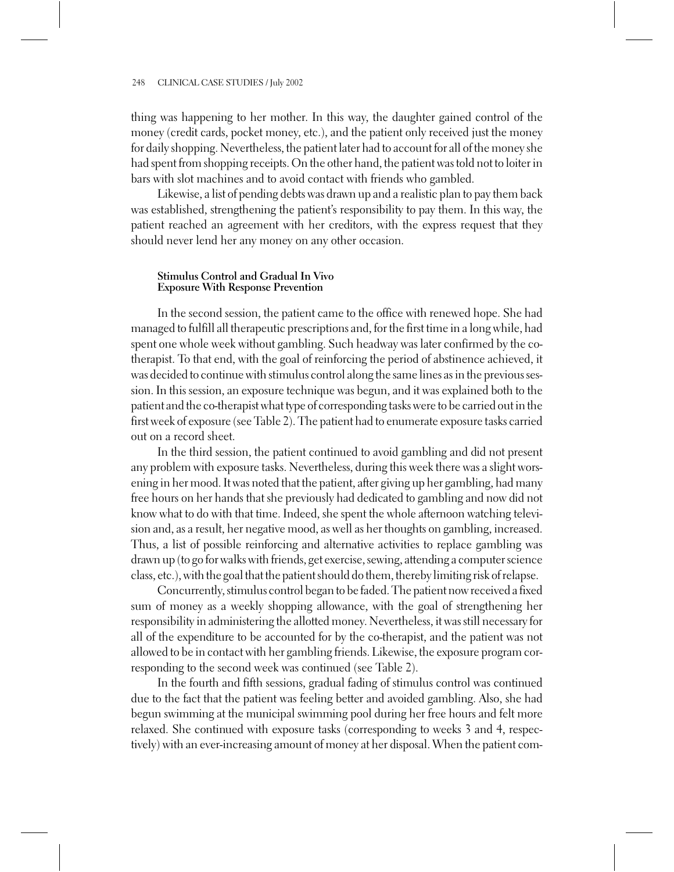thing was happening to her mother. In this way, the daughter gained control of the money (credit cards, pocket money, etc.), and the patient only received just the money for daily shopping. Nevertheless, the patient later had to account for all of the money she had spent from shopping receipts. On the other hand, the patient was told not to loiter in bars with slot machines and to avoid contact with friends who gambled.

Likewise, a list of pending debts was drawn up and a realistic plan to pay them back was established, strengthening the patient's responsibility to pay them. In this way, the patient reached an agreement with her creditors, with the express request that they should never lend her any money on any other occasion.

#### **Stimulus Control and Gradual In Vivo Exposure With Response Prevention**

In the second session, the patient came to the office with renewed hope. She had managed to fulfill all therapeutic prescriptions and, for the first time in a long while, had spent one whole week without gambling. Such headway was later confirmed by the cotherapist. To that end, with the goal of reinforcing the period of abstinence achieved, it was decided to continue with stimulus control along the same lines as in the previous session. In this session, an exposure technique was begun, and it was explained both to the patient and the co-therapist what type of corresponding tasks were to be carried out in the first week of exposure (see Table 2). The patient had to enumerate exposure tasks carried out on a record sheet.

In the third session, the patient continued to avoid gambling and did not present any problem with exposure tasks. Nevertheless, during this week there was a slight worsening in her mood. It was noted that the patient, after giving up her gambling, had many free hours on her hands that she previously had dedicated to gambling and now did not know what to do with that time. Indeed, she spent the whole afternoon watching television and, as a result, her negative mood, as well as her thoughts on gambling, increased. Thus, a list of possible reinforcing and alternative activities to replace gambling was drawn up (to go for walks with friends, get exercise, sewing, attending a computer science class, etc.), with the goal that the patient should do them, thereby limiting risk of relapse.

Concurrently, stimulus control began to be faded. The patient now received a fixed sum of money as a weekly shopping allowance, with the goal of strengthening her responsibility in administering the allotted money. Nevertheless, it was still necessary for all of the expenditure to be accounted for by the co-therapist, and the patient was not allowed to be in contact with her gambling friends. Likewise, the exposure program corresponding to the second week was continued (see Table 2).

In the fourth and fifth sessions, gradual fading of stimulus control was continued due to the fact that the patient was feeling better and avoided gambling. Also, she had begun swimming at the municipal swimming pool during her free hours and felt more relaxed. She continued with exposure tasks (corresponding to weeks 3 and 4, respectively) with an ever-increasing amount of money at her disposal. When the patient com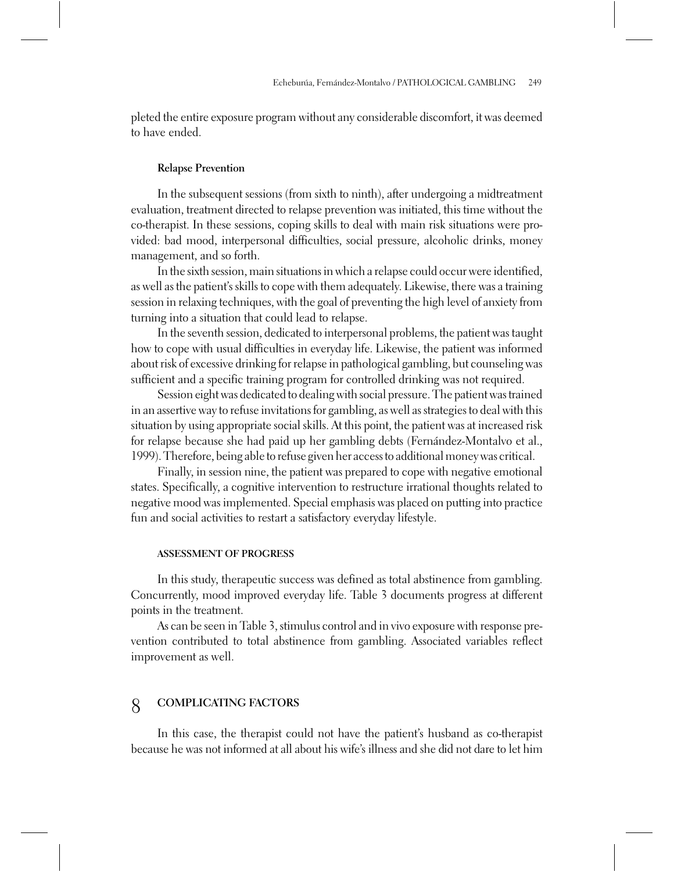pleted the entire exposure program without any considerable discomfort, it was deemed to have ended.

#### **Relapse Prevention**

In the subsequent sessions (from sixth to ninth), after undergoing a midtreatment evaluation, treatment directed to relapse prevention was initiated, this time without the co-therapist. In these sessions, coping skills to deal with main risk situations were provided: bad mood, interpersonal difficulties, social pressure, alcoholic drinks, money management, and so forth.

In the sixth session, main situations in which a relapse could occur were identified, as well as the patient's skills to cope with them adequately. Likewise, there was a training session in relaxing techniques, with the goal of preventing the high level of anxiety from turning into a situation that could lead to relapse.

In the seventh session, dedicated to interpersonal problems, the patient was taught how to cope with usual difficulties in everyday life. Likewise, the patient was informed about risk of excessive drinking for relapse in pathological gambling, but counseling was sufficient and a specific training program for controlled drinking was not required.

Session eight was dedicated to dealing with social pressure. The patient was trained in an assertive way to refuse invitations for gambling, as well as strategies to deal with this situation by using appropriate social skills. At this point, the patient was at increased risk for relapse because she had paid up her gambling debts (Fernández-Montalvo et al., 1999). Therefore, being able to refuse given her access to additional money was critical.

Finally, in session nine, the patient was prepared to cope with negative emotional states. Specifically, a cognitive intervention to restructure irrational thoughts related to negative mood was implemented. Special emphasis was placed on putting into practice fun and social activities to restart a satisfactory everyday lifestyle.

#### **ASSESSMENT OF PROGRESS**

In this study, therapeutic success was defined as total abstinence from gambling. Concurrently, mood improved everyday life. Table 3 documents progress at different points in the treatment.

As can be seen in Table 3, stimulus control and in vivo exposure with response prevention contributed to total abstinence from gambling. Associated variables reflect improvement as well.

# 8 **COMPLICATING FACTORS**

In this case, the therapist could not have the patient's husband as co-therapist because he was not informed at all about his wife's illness and she did not dare to let him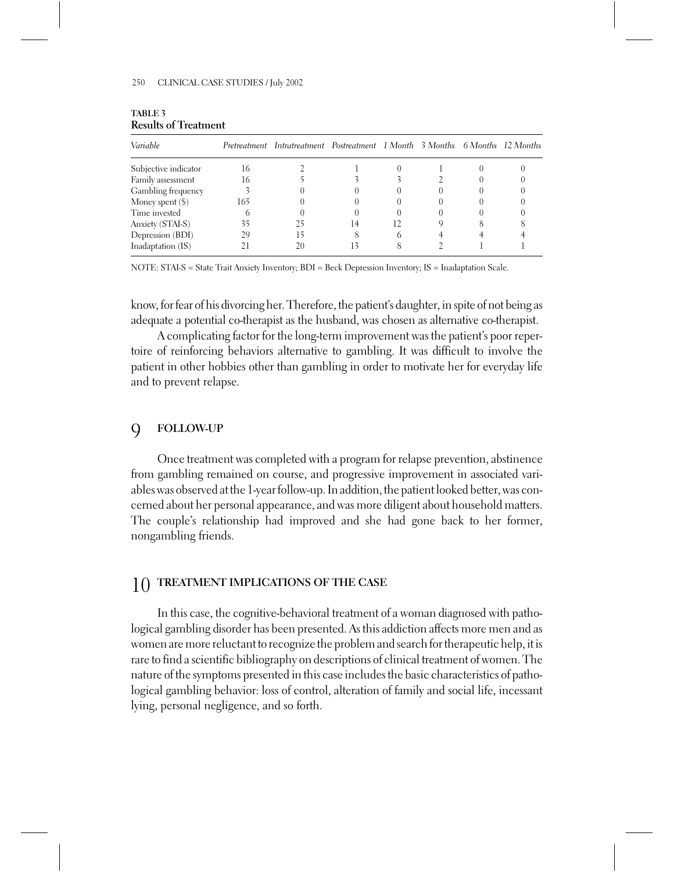| Variable             |     | Pretreatment Intratreatment Postreatment 1 Month 3 Months 6 Months 12 Months |    |  |  |
|----------------------|-----|------------------------------------------------------------------------------|----|--|--|
| Subjective indicator | 16  |                                                                              |    |  |  |
| Family assessment    | 16  |                                                                              |    |  |  |
| Gambling frequency   |     |                                                                              |    |  |  |
| Money spent $(\$)$   | 165 |                                                                              |    |  |  |
| Time invested        |     |                                                                              |    |  |  |
| Anxiety (STAI-S)     | 35  |                                                                              | 14 |  |  |
| Depression (BDI)     | 29  |                                                                              |    |  |  |
| Inadaptation (IS)    |     |                                                                              |    |  |  |

**TABLE 3 Results of Treatment**

NOTE: STAI-S = State Trait Anxiety Inventory; BDI = Beck Depression Inventory; IS = Inadaptation Scale.

know, for fear of his divorcing her. Therefore, the patient's daughter, in spite of not being as adequate a potential co-therapist as the husband, was chosen as alternative co-therapist.

A complicating factor for the long-term improvement was the patient's poor repertoire of reinforcing behaviors alternative to gambling. It was difficult to involve the patient in other hobbies other than gambling in order to motivate her for everyday life and to prevent relapse.

# 9 **FOLLOW-UP**

Once treatment was completed with a program for relapse prevention, abstinence from gambling remained on course, and progressive improvement in associated variables was observed at the 1-year follow-up. In addition, the patient looked better, was concerned about her personal appearance, and was more diligent about household matters. The couple's relationship had improved and she had gone back to her former, nongambling friends.

# 10 **TREATMENT IMPLICATIONS OF THE CASE**

In this case, the cognitive-behavioral treatment of a woman diagnosed with pathological gambling disorder has been presented. As this addiction affects more men and as women are more reluctant to recognize the problem and search for therapeutic help, it is rare to find a scientific bibliography on descriptions of clinical treatment of women. The nature of the symptoms presented in this case includes the basic characteristics of pathological gambling behavior: loss of control, alteration of family and social life, incessant lying, personal negligence, and so forth.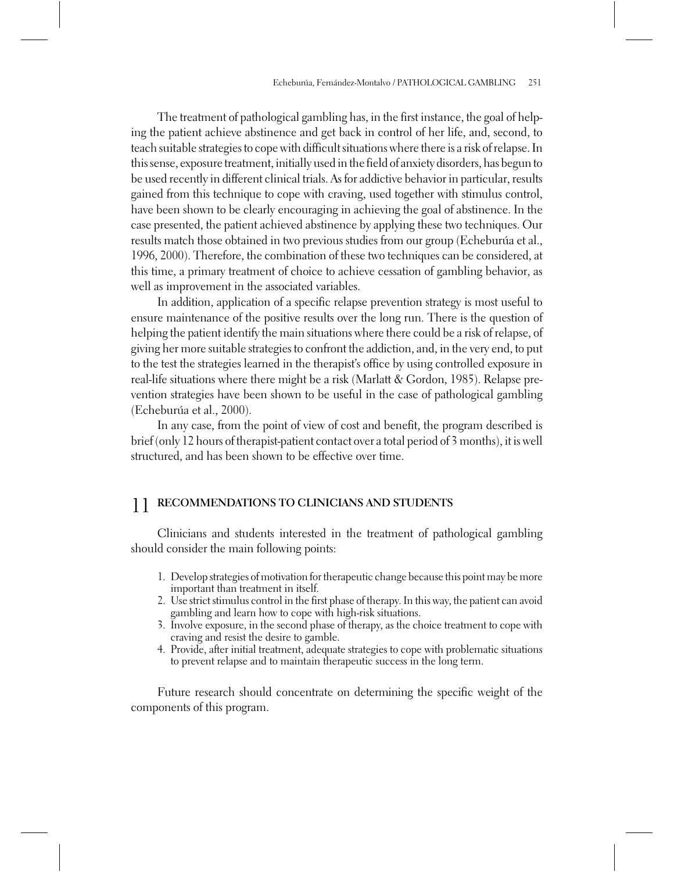The treatment of pathological gambling has, in the first instance, the goal of helping the patient achieve abstinence and get back in control of her life, and, second, to teach suitable strategies to cope with difficult situations where there is a risk of relapse. In this sense, exposure treatment, initially used in the field of anxiety disorders, has begun to be used recently in different clinical trials. As for addictive behavior in particular, results gained from this technique to cope with craving, used together with stimulus control, have been shown to be clearly encouraging in achieving the goal of abstinence. In the case presented, the patient achieved abstinence by applying these two techniques. Our results match those obtained in two previous studies from our group (Echeburúa et al., 1996, 2000). Therefore, the combination of these two techniques can be considered, at this time, a primary treatment of choice to achieve cessation of gambling behavior, as well as improvement in the associated variables.

In addition, application of a specific relapse prevention strategy is most useful to ensure maintenance of the positive results over the long run. There is the question of helping the patient identify the main situations where there could be a risk of relapse, of giving her more suitable strategies to confront the addiction, and, in the very end, to put to the test the strategies learned in the therapist's office by using controlled exposure in real-life situations where there might be a risk (Marlatt & Gordon, 1985). Relapse prevention strategies have been shown to be useful in the case of pathological gambling (Echeburúa et al., 2000).

In any case, from the point of view of cost and benefit, the program described is brief (only 12 hours of therapist-patient contact over a total period of 3 months), it is well structured, and has been shown to be effective over time.

# 11 **RECOMMENDATIONS TO CLINICIANS AND STUDENTS**

Clinicians and students interested in the treatment of pathological gambling should consider the main following points:

- 1. Develop strategies of motivation for therapeutic change because this point may be more important than treatment in itself.
- 2. Use strict stimulus control in the first phase of therapy. In this way, the patient can avoid gambling and learn how to cope with high-risk situations.
- 3. Involve exposure, in the second phase of therapy, as the choice treatment to cope with craving and resist the desire to gamble.
- 4. Provide, after initial treatment, adequate strategies to cope with problematic situations to prevent relapse and to maintain therapeutic success in the long term.

Future research should concentrate on determining the specific weight of the components of this program.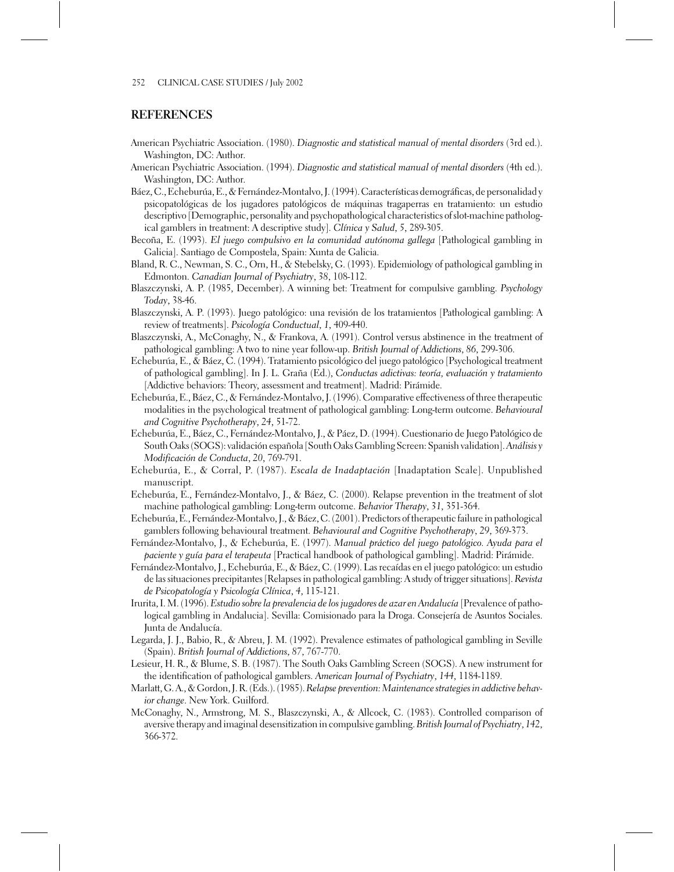### **REFERENCES**

- American Psychiatric Association. (1980). *Diagnostic and statistical manual of mental disorders* (3rd ed.). Washington, DC: Author.
- American Psychiatric Association. (1994). *Diagnostic and statistical manual of mental disorders* (4th ed.). Washington, DC: Author.
- Báez, C., Echeburúa, E., & Fernández-Montalvo, J. (1994). Características demográficas, de personalidad y psicopatológicas de los jugadores patológicos de máquinas tragaperras en tratamiento: un estudio descriptivo [Demographic, personality and psychopathological characteristics of slot-machine pathological gamblers in treatment: A descriptive study]. *Clínica y Salud*, *5*, 289-305.
- Becoña, E. (1993). *El juego compulsivo en la comunidad autónoma gallega* [Pathological gambling in Galicia]. Santiago de Compostela, Spain: Xunta de Galicia.
- Bland, R. C., Newman, S. C., Orn, H., & Stebelsky, G. (1993). Epidemiology of pathological gambling in Edmonton. *Canadian Journal of Psychiatry*, *38*, 108-112.
- Blaszczynski, A. P. (1985, December). A winning bet: Treatment for compulsive gambling. *Psychology Today*, 38-46.
- Blaszczynski, A. P. (1993). Juego patológico: una revisión de los tratamientos [Pathological gambling: A review of treatments]. *Psicología Conductual*, *1*, 409-440.
- Blaszczynski, A., McConaghy, N., & Frankova, A. (1991). Control versus abstinence in the treatment of pathological gambling: A two to nine year follow-up. *British Journal of Addictions*, *86*, 299-306.
- Echeburúa, E., & Báez, C. (1994). Tratamiento psicológico del juego patológico [Psychological treatment of pathological gambling]. In J. L. Graña (Ed.), *Conductas adictivas: teoría, evaluación y tratamiento* [Addictive behaviors: Theory, assessment and treatment]. Madrid: Pirámide.
- Echeburúa, E., Báez, C., & Fernández-Montalvo, J. (1996). Comparative effectiveness of three therapeutic modalities in the psychological treatment of pathological gambling: Long-term outcome. *Behavioural and Cognitive Psychotherapy*, *24*, 51-72.
- Echeburúa, E., Báez, C., Fernández-Montalvo, J., & Páez, D. (1994). Cuestionario de Juego Patológico de South Oaks (SOGS): validación española [South Oaks Gambling Screen: Spanish validation].*Análisis y Modificación de Conducta*, *20*, 769-791.
- Echeburúa, E., & Corral, P. (1987). *Escala de Inadaptación* [Inadaptation Scale]. Unpublished manuscript.
- Echeburúa, E., Fernández-Montalvo, J., & Báez, C. (2000). Relapse prevention in the treatment of slot machine pathological gambling: Long-term outcome. *Behavior Therapy*, *31*, 351-364.
- Echeburúa, E., Fernández-Montalvo, J., & Báez, C. (2001). Predictors of therapeutic failure in pathological gamblers following behavioural treatment. *Behavioural and Cognitive Psychotherapy*, *29*, 369-373.
- Fernández-Montalvo, J., & Echeburúa, E. (1997). *Manual práctico del juego patológico. Ayuda para el paciente y guía para el terapeuta* [Practical handbook of pathological gambling]. Madrid: Pirámide.
- Fernández-Montalvo, J., Echeburúa, E., & Báez, C. (1999). Las recaídas en el juego patológico: un estudio de las situaciones precipitantes [Relapses in pathological gambling: A study of trigger situations]. *Revista de Psicopatología y Psicología Clínica*, *4*, 115-121.
- Irurita, I. M. (1996).*Estudio sobre la prevalencia de los jugadores de azar en Andalucía* [Prevalence of pathological gambling in Andalucia]. Sevilla: Comisionado para la Droga. Consejería de Asuntos Sociales. Junta de Andalucía.
- Legarda, J. J., Babio, R., & Abreu, J. M. (1992). Prevalence estimates of pathological gambling in Seville (Spain). *British Journal of Addictions*, *87*, 767-770.
- Lesieur, H. R., & Blume, S. B. (1987). The South Oaks Gambling Screen (SOGS). A new instrument for the identification of pathological gamblers. *American Journal of Psychiatry*, *144*, 1184-1189.
- Marlatt, G. A., & Gordon, J. R. (Eds.). (1985).*Relapse prevention: Maintenance strategies in addictive behavior change*. New York. Guilford.
- McConaghy, N., Armstrong, M. S., Blaszczynski, A., & Allcock, C. (1983). Controlled comparison of aversive therapy and imaginal desensitization in compulsive gambling.*British Journal of Psychiatry*, *142*, 366-372.